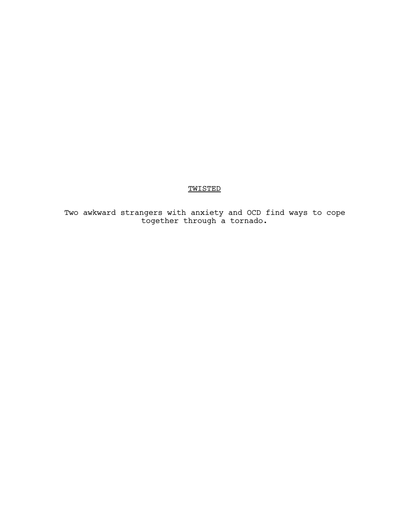# TWISTED

Two awkward strangers with anxiety and OCD find ways to cope together through a tornado.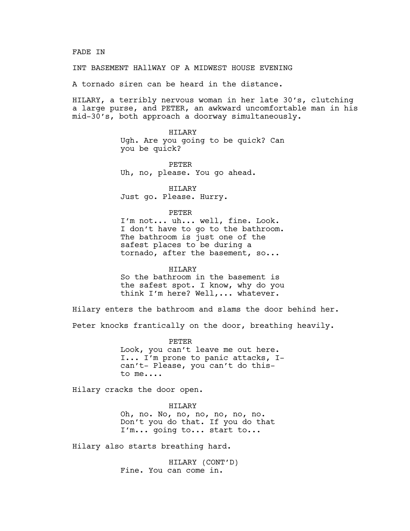### FADE IN

INT BASEMENT HAllWAY OF A MIDWEST HOUSE EVENING

A tornado siren can be heard in the distance.

HILARY, a terribly nervous woman in her late 30's, clutching a large purse, and PETER, an awkward uncomfortable man in his mid-30's, both approach a doorway simultaneously.

> HILARY Ugh. Are you going to be quick? Can you be quick?

PETER Uh, no, please. You go ahead.

HILARY Just go. Please. Hurry.

PETER

I'm not... uh... well, fine. Look. I don't have to go to the bathroom. The bathroom is just one of the safest places to be during a tornado, after the basement, so...

## HILARY

So the bathroom in the basement is the safest spot. I know, why do you think I'm here? Well,... whatever.

Hilary enters the bathroom and slams the door behind her. Peter knocks frantically on the door, breathing heavily.

> PETER Look, you can't leave me out here. I... I'm prone to panic attacks, Ican't- Please, you can't do thisto me....

Hilary cracks the door open.

HILARY Oh, no. No, no, no, no, no, no. Don't you do that. If you do that I'm... going to... start to...

Hilary also starts breathing hard.

HILARY (CONT'D) Fine. You can come in.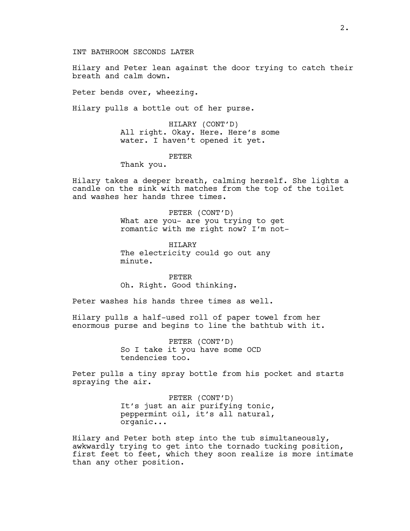INT BATHROOM SECONDS LATER

Hilary and Peter lean against the door trying to catch their breath and calm down.

Peter bends over, wheezing.

Hilary pulls a bottle out of her purse.

HILARY (CONT'D) All right. Okay. Here. Here's some water. I haven't opened it yet.

# PETER

Thank you.

Hilary takes a deeper breath, calming herself. She lights a candle on the sink with matches from the top of the toilet and washes her hands three times.

> PETER (CONT'D) What are you- are you trying to get romantic with me right now? I'm not-

HTT, ARY The electricity could go out any minute.

PETER Oh. Right. Good thinking.

Peter washes his hands three times as well.

Hilary pulls a half-used roll of paper towel from her enormous purse and begins to line the bathtub with it.

> PETER (CONT'D) So I take it you have some OCD tendencies too.

Peter pulls a tiny spray bottle from his pocket and starts spraying the air.

> PETER (CONT'D) It's just an air purifying tonic, peppermint oil, it's all natural, organic...

Hilary and Peter both step into the tub simultaneously, awkwardly trying to get into the tornado tucking position, first feet to feet, which they soon realize is more intimate than any other position.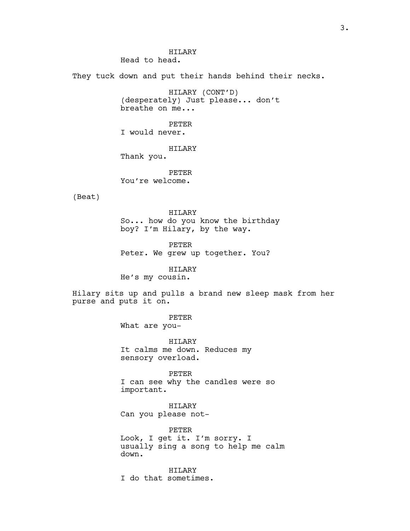HTLARY Head to head.

They tuck down and put their hands behind their necks.

HILARY (CONT'D) (desperately) Just please... don't breathe on me...

PETER I would never.

HILARY

Thank you.

PETER You're welcome.

(Beat)

HILARY So... how do you know the birthday boy? I'm Hilary, by the way.

PETER Peter. We grew up together. You?

HILARY

He's my cousin.

Hilary sits up and pulls a brand new sleep mask from her purse and puts it on.

PETER

What are you-

HILARY It calms me down. Reduces my sensory overload.

PETER I can see why the candles were so important.

HILARY Can you please not-

PETER Look, I get it. I'm sorry. I usually sing a song to help me calm down.

HILARY I do that sometimes.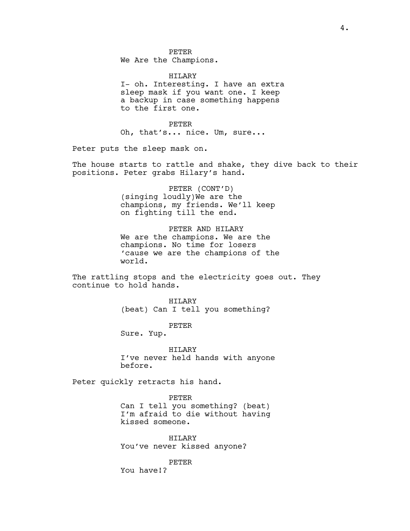PETER We Are the Champions.

HILARY I- oh. Interesting. I have an extra sleep mask if you want one. I keep a backup in case something happens to the first one.

PETER Oh, that's... nice. Um, sure...

Peter puts the sleep mask on.

The house starts to rattle and shake, they dive back to their positions. Peter grabs Hilary's hand.

> PETER (CONT'D) (singing loudly)We are the champions, my friends. We'll keep on fighting till the end.

PETER AND HILARY We are the champions. We are the champions. No time for losers 'cause we are the champions of the world.

The rattling stops and the electricity goes out. They continue to hold hands.

> HILARY (beat) Can I tell you something?

> > PETER

Sure. Yup.

HILARY I've never held hands with anyone before.

Peter quickly retracts his hand.

PETER Can I tell you something? (beat) I'm afraid to die without having kissed someone.

HILARY You've never kissed anyone?

PETER

You have!?